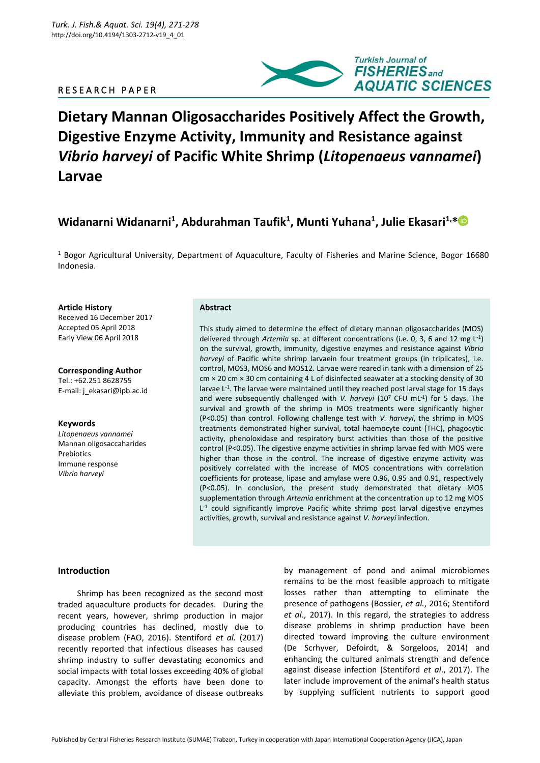# R E S E A R C H P A P E R



# **Dietary Mannan Oligosaccharides Positively Affect the Growth, Digestive Enzyme Activity, Immunity and Resistance against**  *Vibrio harveyi* **of Pacific White Shrimp (***Litopenaeus vannamei***) Larvae**

# **Widanarni Widanarni<sup>1</sup> , Abdurahman Taufik<sup>1</sup> , Munti Yuhana<sup>1</sup> , Julie Ekasari1,[\\*](https://orcid.org/0000-0002-6179-7629)**

<sup>1</sup> Bogor Agricultural University, Department of Aquaculture, Faculty of Fisheries and Marine Science, Bogor 16680 Indonesia.

#### **Article History**

Received 16 December 2017 Accepted 05 April 2018 Early View 06 April 2018

#### **Corresponding Author** Tel.: +62.251 8628755

E-mail: j\_ekasari@ipb.ac.id

#### **Keywords**

*Litopenaeus vannamei* Mannan oligosaccaharides **Prebiotics** Immune response *Vibrio harveyi*

# **Abstract**

This study aimed to determine the effect of dietary mannan oligosaccharides (MOS) delivered through *Artemia* sp. at different concentrations (i.e. 0, 3, 6 and 12 mg L-1 ) on the survival, growth, immunity, digestive enzymes and resistance against *Vibrio harveyi* of Pacific white shrimp larvaein four treatment groups (in triplicates), i.e. control, MOS3, MOS6 and MOS12. Larvae were reared in tank with a dimension of 25  $cm \times 20$  cm  $\times$  30 cm containing 4 L of disinfected seawater at a stocking density of 30 larvae L<sup>-1</sup>. The larvae were maintained until they reached post larval stage for 15 days and were subsequently challenged with *V. harveyi* (10<sup>7</sup> CFU mL<sup>-1</sup>) for 5 days. The survival and growth of the shrimp in MOS treatments were significantly higher (P<0.05) than control. Following challenge test with *V. harveyi*, the shrimp in MOS treatments demonstrated higher survival, total haemocyte count (THC), phagocytic activity, phenoloxidase and respiratory burst activities than those of the positive control (P<0.05). The digestive enzyme activities in shrimp larvae fed with MOS were higher than those in the control. The increase of digestive enzyme activity was positively correlated with the increase of MOS concentrations with correlation coefficients for protease, lipase and amylase were 0.96, 0.95 and 0.91, respectively (P<0.05). In conclusion, the present study demonstrated that dietary MOS supplementation through *Artemia* enrichment at the concentration up to 12 mg MOS L<sup>-1</sup> could significantly improve Pacific white shrimp post larval digestive enzymes activities, growth, survival and resistance against *V. harveyi* infection.

#### **Introduction**

Shrimp has been recognized as the second most traded aquaculture products for decades. During the recent years, however, shrimp production in major producing countries has declined, mostly due to disease problem (FAO, 2016). Stentiford *et al.* (2017) recently reported that infectious diseases has caused shrimp industry to suffer devastating economics and social impacts with total losses exceeding 40% of global capacity. Amongst the efforts have been done to alleviate this problem, avoidance of disease outbreaks

by management of pond and animal microbiomes remains to be the most feasible approach to mitigate losses rather than attempting to eliminate the presence of pathogens (Bossier, *et al.*, 2016; Stentiford *et al*., 2017). In this regard, the strategies to address disease problems in shrimp production have been directed toward improving the culture environment (De Scrhyver, Defoirdt, & Sorgeloos, 2014) and enhancing the cultured animals strength and defence against disease infection (Stentiford *et al*., 2017). The later include improvement of the animal's health status by supplying sufficient nutrients to support good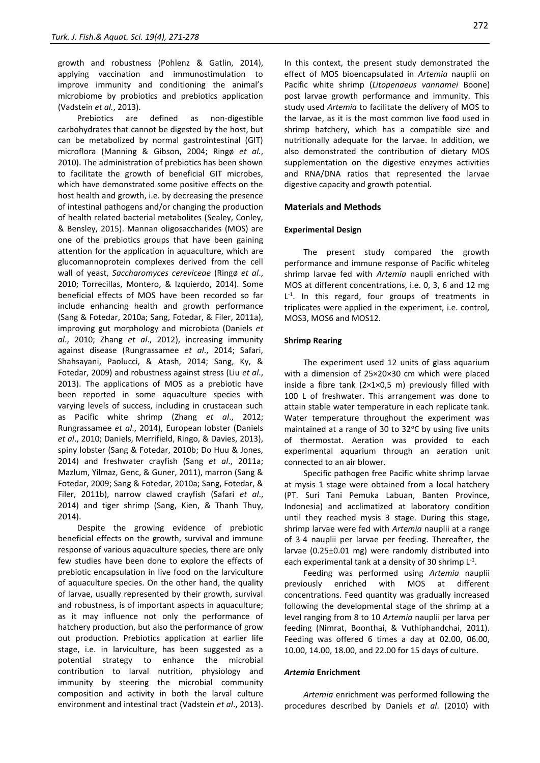growth and robustness (Pohlenz & Gatlin, 2014), applying vaccination and immunostimulation to improve immunity and conditioning the animal's microbiome by probiotics and prebiotics application (Vadstein *et al.*, 2013).

Prebiotics are defined as non-digestible carbohydrates that cannot be digested by the host, but can be metabolized by normal gastrointestinal (GIT) microflora (Manning & Gibson, 2004; Ringø *et al.*, 2010). The administration of prebiotics has been shown to facilitate the growth of beneficial GIT microbes, which have demonstrated some positive effects on the host health and growth, i.e. by decreasing the presence of intestinal pathogens and/or changing the production of health related bacterial metabolites (Sealey, [Conley,](file:///C:/Users/USER/AppData/Local/Temp/Jurnal%20Skripsi/Sealey%20et%20al%202015.pdf)  [& Bensley,](file:///C:/Users/USER/AppData/Local/Temp/Jurnal%20Skripsi/Sealey%20et%20al%202015.pdf) 2015). Mannan oligosaccharides (MOS) are one of the prebiotics groups that have been gaining attention for the application in aquaculture, which are glucomannoprotein complexes derived from the cell wall of yeast, *Saccharomyces cereviceae* (Ringø *et al*., 2010; Torrecillas, Montero, & Izquierdo, 2014). Some beneficial effects of MOS have been recorded so far include enhancing health and growth performance (Sang & Fotedar, 2010a; Sang, Fotedar, & Filer, 2011a), improving gut morphology and microbiota (Daniels *et al*., 2010; Zhang *et al*., 2012), increasing immunity against disease (Rungrassamee *et al*., 2014; Safari, Shahsayani, Paolucci, & Atash, 2014; Sang, Ky, & Fotedar, 2009) and robustness against stress (Liu *et al*., 2013). The applications of MOS as a prebiotic have been reported in some aquaculture species with varying levels of success, including in crustacean such as Pacific white shrimp (Zhang *et al*., 2012; Rungrassamee *et al*., 2014), European lobster (Daniels *et al*., 2010; Daniels, Merrifield, Ringo, & Davies, 2013), spiny lobster (Sang & Fotedar, 2010b; Do Huu & Jones, 2014) and freshwater crayfish (Sang *et al*., 2011a; Mazlum, Yilmaz, Genc, & Guner, 2011), marron (Sang & Fotedar, 2009; Sang & Fotedar, 2010a; Sang, Fotedar, & Filer, 2011b), narrow clawed crayfish (Safari *et al*., 2014) and tiger shrimp (Sang, Kien, & Thanh Thuy, 2014).

Despite the growing evidence of prebiotic beneficial effects on the growth, survival and immune response of various aquaculture species, there are only few studies have been done to explore the effects of prebiotic encapsulation in live food on the larviculture of aquaculture species. On the other hand, the quality of larvae, usually represented by their growth, survival and robustness, is of important aspects in aquaculture; as it may influence not only the performance of hatchery production, but also the performance of grow out production. Prebiotics application at earlier life stage, i.e. in larviculture, has been suggested as a potential strategy to enhance the microbial contribution to larval nutrition, physiology and immunity by steering the microbial community composition and activity in both the larval culture environment and intestinal tract (Vadstein *et al*., 2013). In this context, the present study demonstrated the effect of MOS bioencapsulated in *Artemia* nauplii on Pacific white shrimp (*Litopenaeus vannamei* Boone) post larvae growth performance and immunity. This study used *Artemia* to facilitate the delivery of MOS to the larvae, as it is the most common live food used in shrimp hatchery, which has a compatible size and nutritionally adequate for the larvae. In addition, we also demonstrated the contribution of dietary MOS supplementation on the digestive enzymes activities and RNA/DNA ratios that represented the larvae digestive capacity and growth potential.

#### **Materials and Methods**

#### **Experimental Design**

The present study compared the growth performance and immune response of Pacific whiteleg shrimp larvae fed with *Artemia* naupli enriched with MOS at different concentrations, i.e. 0, 3, 6 and 12 mg L<sup>-1</sup>. In this regard, four groups of treatments in triplicates were applied in the experiment, i.e. control, MOS3, MOS6 and MOS12.

#### **Shrimp Rearing**

The experiment used 12 units of glass aquarium with a dimension of 25×20×30 cm which were placed inside a fibre tank (2×1×0,5 m) previously filled with 100 L of freshwater. This arrangement was done to attain stable water temperature in each replicate tank. Water temperature throughout the experiment was maintained at a range of 30 to  $32^{\circ}$ C by using five units of thermostat. Aeration was provided to each experimental aquarium through an aeration unit connected to an air blower.

Specific pathogen free Pacific white shrimp larvae at mysis 1 stage were obtained from a local hatchery (PT. Suri Tani Pemuka Labuan, Banten Province, Indonesia) and acclimatized at laboratory condition until they reached mysis 3 stage. During this stage, shrimp larvae were fed with *Artemia* nauplii at a range of 3-4 nauplii per larvae per feeding. Thereafter, the larvae (0.25±0.01 mg) were randomly distributed into each experimental tank at a density of 30 shrimp  $L^{-1}$ .

Feeding was performed using *Artemia* nauplii previously enriched with MOS at different concentrations. Feed quantity was gradually increased following the developmental stage of the shrimp at a level ranging from 8 to 10 *Artemia* nauplii per larva per feeding (Nimrat, Boonthai, & Vuthiphandchai, 2011). Feeding was offered 6 times a day at 02.00, 06.00, 10.00, 14.00, 18.00, and 22.00 for 15 days of culture.

#### *Artemia* **Enrichment**

*Artemia* enrichment was performed following the procedures described by Daniels *et al*. (2010) with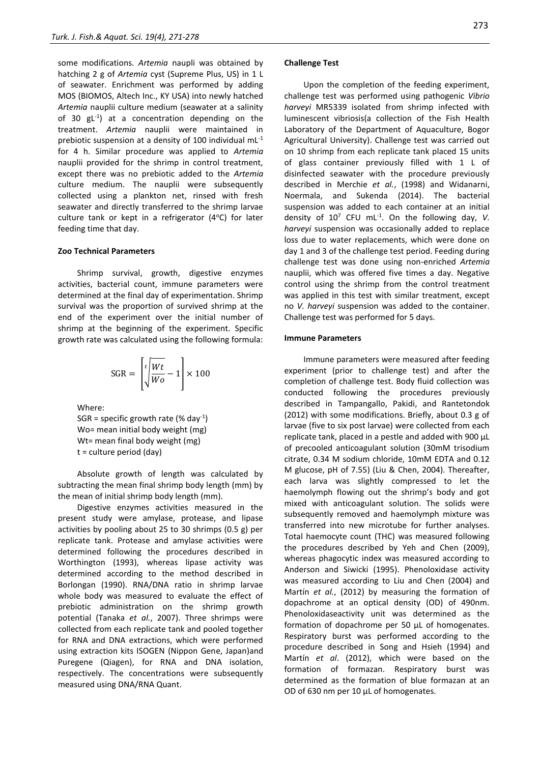some modifications. *Artemia* naupli was obtained by hatching 2 g of *Artemia* cyst (Supreme Plus, US) in 1 L of seawater. Enrichment was performed by adding MOS (BIOMOS, Altech Inc., KY USA) into newly hatched *Artemia* nauplii culture medium (seawater at a salinity of 30 gL<sup>-1</sup>) at a concentration depending on the treatment. *Artemia* nauplii were maintained in prebiotic suspension at a density of 100 individual mL-1 for 4 h. Similar procedure was applied to *Artemia* nauplii provided for the shrimp in control treatment, except there was no prebiotic added to the *Artemia*  culture medium. The nauplii were subsequently collected using a plankton net, rinsed with fresh seawater and directly transferred to the shrimp larvae culture tank or kept in a refrigerator  $(4^{\circ}C)$  for later feeding time that day.

#### **Zoo Technical Parameters**

Shrimp survival, growth, digestive enzymes activities, bacterial count, immune parameters were determined at the final day of experimentation. Shrimp survival was the proportion of survived shrimp at the end of the experiment over the initial number of shrimp at the beginning of the experiment. Specific growth rate was calculated using the following formula:

$$
\text{SGR} = \left[ \frac{t}{\sqrt{Wc}} - 1 \right] \times 100
$$

Where:

SGR = specific growth rate (% day<sup>-1</sup>) Wo= mean initial body weight (mg) Wt= mean final body weight (mg) t = culture period (day)

Absolute growth of length was calculated by subtracting the mean final shrimp body length (mm) by the mean of initial shrimp body length (mm).

Digestive enzymes activities measured in the present study were amylase, protease, and lipase activities by pooling about 25 to 30 shrimps (0.5 g) per replicate tank. Protease and amylase activities were determined following the procedures described in Worthington (1993), whereas lipase activity was determined according to the method described in Borlongan (1990). RNA/DNA ratio in shrimp larvae whole body was measured to evaluate the effect of prebiotic administration on the shrimp growth potential (Tanaka *et al.*, 2007). Three shrimps were collected from each replicate tank and pooled together for RNA and DNA extractions, which were performed using extraction kits ISOGEN (Nippon Gene, Japan)and Puregene (Qiagen), for RNA and DNA isolation, respectively. The concentrations were subsequently measured using DNA/RNA Quant.

#### **Challenge Test**

Upon the completion of the feeding experiment, challenge test was performed using pathogenic *Vibrio harveyi* MR5339 isolated from shrimp infected with luminescent vibriosis(a collection of the Fish Health Laboratory of the Department of Aquaculture, Bogor Agricultural University). Challenge test was carried out on 10 shrimp from each replicate tank placed 15 units of glass container previously filled with 1 L of disinfected seawater with the procedure previously described in Merchie *et al.*, (1998) and Widanarni, Noermala, and Sukenda (2014). The bacterial suspension was added to each container at an initial density of  $10^7$  CFU mL<sup>-1</sup>. On the following day, *V*. *harveyi* suspension was occasionally added to replace loss due to water replacements, which were done on day 1 and 3 of the challenge test period. Feeding during challenge test was done using non-enriched *Artemia* nauplii, which was offered five times a day. Negative control using the shrimp from the control treatment was applied in this test with similar treatment, except no *V. harveyi* suspension was added to the container. Challenge test was performed for 5 days.

#### **Immune Parameters**

Immune parameters were measured after feeding experiment (prior to challenge test) and after the completion of challenge test. Body fluid collection was conducted following the procedures previously described in Tampangallo, Pakidi, and Rantetondok (2012) with some modifications. Briefly, about 0.3 g of larvae (five to six post larvae) were collected from each replicate tank, placed in a pestle and added with 900 µL of precooled anticoagulant solution (30mM trisodium citrate, 0.34 M sodium chloride, 10mM EDTA and 0.12 M glucose, pH of 7.55) (Liu & Chen, 2004). Thereafter, each larva was slightly compressed to let the haemolymph flowing out the shrimp's body and got mixed with anticoagulant solution. The solids were subsequently removed and haemolymph mixture was transferred into new microtube for further analyses. Total haemocyte count (THC) was measured following the procedures described by Yeh and Chen (2009), whereas phagocytic index was measured according to Anderson and Siwicki (1995). Phenoloxidase activity was measured according to Liu and Chen (2004) and Martín *et al.*, (2012) by measuring the formation of dopachrome at an optical density (OD) of 490nm. Phenoloxidaseactivity unit was determined as the formation of dopachrome per 50 µL of homogenates. Respiratory burst was performed according to the procedure described in Song and Hsieh (1994) and Martín *et al*. (2012), which were based on the formation of formazan. Respiratory burst was determined as the formation of blue formazan at an OD of 630 nm per 10 µL of homogenates.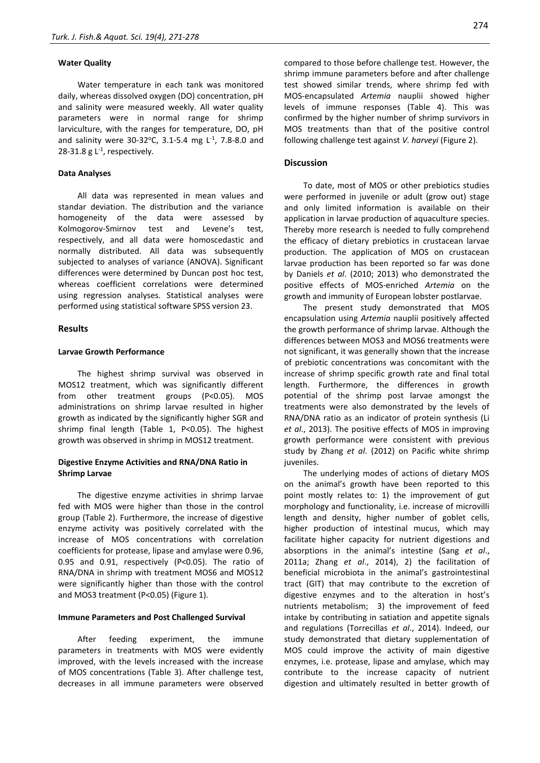#### **Water Quality**

Water temperature in each tank was monitored daily, whereas dissolved oxygen (DO) concentration, pH and salinity were measured weekly. All water quality parameters were in normal range for shrimp larviculture, with the ranges for temperature, DO, pH and salinity were 30-32°C, 3.1-5.4 mg  $L^{-1}$ , 7.8-8.0 and 28-31.8  $g L<sup>-1</sup>$ , respectively.

#### **Data Analyses**

All data was represented in mean values and standar deviation. The distribution and the variance homogeneity of the data were assessed by Kolmogorov-Smirnov test and Levene's test, respectively, and all data were homoscedastic and normally distributed. All data was subsequently subjected to analyses of variance (ANOVA). Significant differences were determined by Duncan post hoc test, whereas coefficient correlations were determined using regression analyses. Statistical analyses were performed using statistical software SPSS version 23.

#### **Results**

# **Larvae Growth Performance**

The highest shrimp survival was observed in MOS12 treatment, which was significantly different from other treatment groups (P<0.05). MOS administrations on shrimp larvae resulted in higher growth as indicated by the significantly higher SGR and shrimp final length (Table 1, P<0.05). The highest growth was observed in shrimp in MOS12 treatment.

# **Digestive Enzyme Activities and RNA/DNA Ratio in Shrimp Larvae**

The digestive enzyme activities in shrimp larvae fed with MOS were higher than those in the control group (Table 2). Furthermore, the increase of digestive enzyme activity was positively correlated with the increase of MOS concentrations with correlation coefficients for protease, lipase and amylase were 0.96, 0.95 and 0.91, respectively (P<0.05). The ratio of RNA/DNA in shrimp with treatment MOS6 and MOS12 were significantly higher than those with the control and MOS3 treatment (P<0.05) (Figure 1).

#### **Immune Parameters and Post Challenged Survival**

After feeding experiment, the immune parameters in treatments with MOS were evidently improved, with the levels increased with the increase of MOS concentrations (Table 3). After challenge test, decreases in all immune parameters were observed

compared to those before challenge test. However, the shrimp immune parameters before and after challenge test showed similar trends, where shrimp fed with MOS-encapsulated *Artemia* nauplii showed higher levels of immune responses (Table 4). This was confirmed by the higher number of shrimp survivors in MOS treatments than that of the positive control following challenge test against *V. harveyi* (Figure 2).

# **Discussion**

To date, most of MOS or other prebiotics studies were performed in juvenile or adult (grow out) stage and only limited information is available on their application in larvae production of aquaculture species. Thereby more research is needed to fully comprehend the efficacy of dietary prebiotics in crustacean larvae production. The application of MOS on crustacean larvae production has been reported so far was done by Daniels *et al*. (2010; 2013) who demonstrated the positive effects of MOS-enriched *Artemia* on the growth and immunity of European lobster postlarvae.

The present study demonstrated that MOS encapsulation using *Artemia* nauplii positively affected the growth performance of shrimp larvae. Although the differences between MOS3 and MOS6 treatments were not significant, it was generally shown that the increase of prebiotic concentrations was concomitant with the increase of shrimp specific growth rate and final total length. Furthermore, the differences in growth potential of the shrimp post larvae amongst the treatments were also demonstrated by the levels of RNA/DNA ratio as an indicator of protein synthesis (Li *et al*., 2013). The positive effects of MOS in improving growth performance were consistent with previous study by Zhang *et al*. (2012) on Pacific white shrimp juveniles.

The underlying modes of actions of dietary MOS on the animal's growth have been reported to this point mostly relates to: 1) the improvement of gut morphology and functionality, i.e. increase of microvilli length and density, higher number of goblet cells, higher production of intestinal mucus, which may facilitate higher capacity for nutrient digestions and absorptions in the animal's intestine (Sang *et al*., 2011a; Zhang *et al*., 2014), 2) the facilitation of beneficial microbiota in the animal's gastrointestinal tract (GIT) that may contribute to the excretion of digestive enzymes and to the alteration in host's nutrients metabolism; 3) the improvement of feed intake by contributing in satiation and appetite signals and regulations (Torrecillas *et al*., 2014). Indeed, our study demonstrated that dietary supplementation of MOS could improve the activity of main digestive enzymes, i.e. protease, lipase and amylase, which may contribute to the increase capacity of nutrient digestion and ultimately resulted in better growth of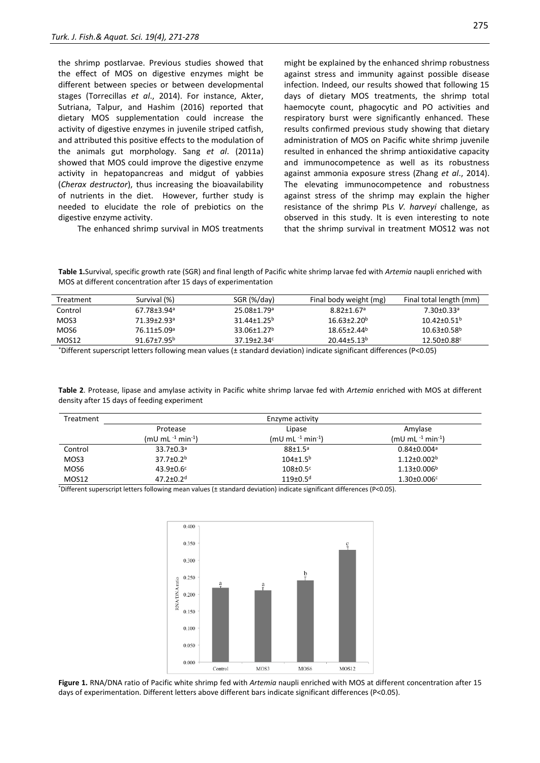the shrimp postlarvae. Previous studies showed that the effect of MOS on digestive enzymes might be different between species or between developmental stages (Torrecillas *et al*., 2014). For instance, Akter, Sutriana, Talpur, and Hashim (2016) reported that dietary MOS supplementation could increase the activity of digestive enzymes in juvenile striped catfish, and attributed this positive effects to the modulation of the animals gut morphology. Sang *et al*. (2011a) showed that MOS could improve the digestive enzyme activity in hepatopancreas and midgut of yabbies (*Cherax destructor*), thus increasing the bioavailability of nutrients in the diet. However, further study is needed to elucidate the role of prebiotics on the digestive enzyme activity.

The enhanced shrimp survival in MOS treatments

might be explained by the enhanced shrimp robustness against stress and immunity against possible disease infection. Indeed, our results showed that following 15 days of dietary MOS treatments, the shrimp total haemocyte count, phagocytic and PO activities and respiratory burst were significantly enhanced. These results confirmed previous study showing that dietary administration of MOS on Pacific white shrimp juvenile resulted in enhanced the shrimp antioxidative capacity and immunocompetence as well as its robustness against ammonia exposure stress (Zhang *et al*., 2014). The elevating immunocompetence and robustness against stress of the shrimp may explain the higher resistance of the shrimp PLs *V. harveyi* challenge, as observed in this study. It is even interesting to note that the shrimp survival in treatment MOS12 was not

**Table 1.**Survival, specific growth rate (SGR) and final length of Pacific white shrimp larvae fed with *Artemia* naupli enriched with MOS at different concentration after 15 days of experimentation

| Treatment         | Survival (%)                  | SGR (%/day)                   | Final body weight (mg)                                                                                                                                                                                                             | Final total length (mm)       |  |
|-------------------|-------------------------------|-------------------------------|------------------------------------------------------------------------------------------------------------------------------------------------------------------------------------------------------------------------------------|-------------------------------|--|
| Control           | $67.78 \pm 3.94$ <sup>a</sup> | 25.08±1.79 <sup>a</sup>       | $8.82 \pm 1.67$ <sup>a</sup>                                                                                                                                                                                                       | $7.30 \pm 0.33$ <sup>a</sup>  |  |
| MOS3              | 71.39±2.93ª                   | $31.44 \pm 1.25^b$            | $16.63 \pm 2.20^b$                                                                                                                                                                                                                 | $10.42 + 0.51$ <sup>b</sup>   |  |
| MOS6              | 76.11±5.09 <sup>a</sup>       | $33.06 \pm 1.27$ <sup>b</sup> | $18.65 \pm 2.44$ <sup>b</sup>                                                                                                                                                                                                      | $10.63 \pm 0.58$ <sup>b</sup> |  |
| MOS <sub>12</sub> | $91.67 \pm 7.95^b$            | $37.19 \pm 2.34$ c            | $20.44 + 5.13b$                                                                                                                                                                                                                    | 12.50±0.88c                   |  |
| $x = 100$         | .                             |                               | $\mathcal{L}$ . The state is the state of the state of the state of the state of the state of the state of the state of the state of the state of the state of the state of the state of the state of the state of the state of th | $   -$                        |  |

\*Different superscript letters following mean values (± standard deviation) indicate significant differences (P<0.05)

**Table 2**. Protease, lipase and amylase activity in Pacific white shrimp larvae fed with *Artemia* enriched with MOS at different density after 15 days of feeding experiment

| Treatment |                               | Enzyme activity               |                               |
|-----------|-------------------------------|-------------------------------|-------------------------------|
|           | Protease                      | Lipase                        | Amylase                       |
|           | $(mU \, mL^{-1} \, min^{-1})$ | $(mU \, mL^{-1} \, min^{-1})$ | $(mU \, mL^{-1} \, min^{-1})$ |
| Control   | $33.7 \pm 0.3^a$              | $88 + 1.5^a$                  | $0.84 \pm 0.004$ <sup>a</sup> |
| MOS3      | $37.7 \pm 0.2^b$              | $104 \pm 1.5^{b}$             | $1.12 \pm 0.002$ <sup>b</sup> |
| MOS6      | $43.9 \pm 0.6$ <sup>c</sup>   | $108 \pm 0.5$ <sup>c</sup>    | $1.13 \pm 0.006^b$            |
| MOS12     | $47.2 \pm 0.2$ <sup>d</sup>   | $119 \pm 0.5$ <sup>d</sup>    | $1.30 \pm 0.006$ c            |

\*Different superscript letters following mean values (± standard deviation) indicate significant differences (P<0.05).



**Figure 1.** RNA/DNA ratio of Pacific white shrimp fed with *Artemia* naupli enriched with MOS at different concentration after 15 days of experimentation. Different letters above different bars indicate significant differences (P<0.05).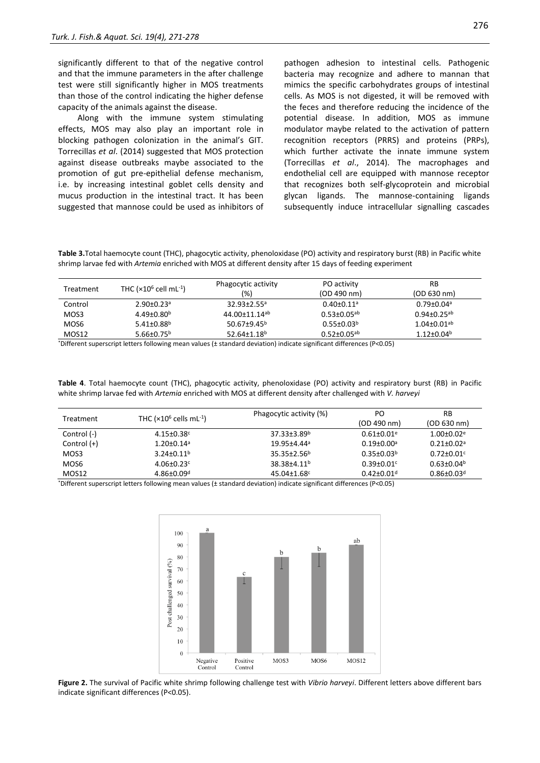significantly different to that of the negative control and that the immune parameters in the after challenge test were still significantly higher in MOS treatments than those of the control indicating the higher defense capacity of the animals against the disease.

Along with the immune system stimulating effects, MOS may also play an important role in blocking pathogen colonization in the animal's GIT. Torrecillas *et al*. (2014) suggested that MOS protection against disease outbreaks maybe associated to the promotion of gut pre-epithelial defense mechanism, i.e. by increasing intestinal goblet cells density and mucus production in the intestinal tract. It has been suggested that mannose could be used as inhibitors of

pathogen adhesion to intestinal cells. Pathogenic bacteria may recognize and adhere to mannan that mimics the specific carbohydrates groups of intestinal cells. As MOS is not digested, it will be removed with the feces and therefore reducing the incidence of the potential disease. In addition, MOS as immune modulator maybe related to the activation of pattern recognition receptors (PRRS) and proteins (PRPs), which further activate the innate immune system (Torrecillas *et al*., 2014). The macrophages and endothelial cell are equipped with mannose receptor that recognizes both self-glycoprotein and microbial glycan ligands. The mannose-containing ligands subsequently induce intracellular signalling cascades

**Table 3.**Total haemocyte count (THC), phagocytic activity, phenoloxidase (PO) activity and respiratory burst (RB) in Pacific white shrimp larvae fed with *Artemia* enriched with MOS at different density after 15 days of feeding experiment

| Treatment | THC $(x10^6 \text{ cell } mL^{-1})$ | Phagocytic activity<br>(%)    | PO activity<br>(OD 490 nm)   | RB<br>(OD 630 nm)             |
|-----------|-------------------------------------|-------------------------------|------------------------------|-------------------------------|
| Control   | $2.90 \pm 0.23$ <sup>a</sup>        | $32.93 \pm 2.55$ <sup>a</sup> | $0.40 \pm 0.11$ <sup>a</sup> | $0.79 \pm 0.04$ <sup>a</sup>  |
| MOS3      | $4.49 \pm 0.80^b$                   | 44.00±11.14 <sup>ab</sup>     | $0.53 \pm 0.05^{ab}$         | $0.94 \pm 0.25$ <sup>ab</sup> |
| MOS6      | 5.41 $\pm$ 0.88 <sup>b</sup>        | 50.67 $\pm$ 9.45 <sup>b</sup> | $0.55 \pm 0.03^b$            | $1.04 \pm 0.01$ <sup>ab</sup> |
| MOS12     | 5.66 $\pm$ 0.75 <sup>b</sup>        | $52.64 \pm 1.18$ <sup>b</sup> | $0.52 \pm 0.05^{ab}$         | $1.12 \pm 0.04^b$             |

\*Different superscript letters following mean values (± standard deviation) indicate significant differences (P<0.05)

**Table 4**. Total haemocyte count (THC), phagocytic activity, phenoloxidase (PO) activity and respiratory burst (RB) in Pacific white shrimp larvae fed with *Artemia* enriched with MOS at different density after challenged with *V. harveyi*

| Treatment     | THC $(x10^6 \text{ cells} \text{ mL}^{-1})$ | Phagocytic activity (%)       | PO                           | RB                           |
|---------------|---------------------------------------------|-------------------------------|------------------------------|------------------------------|
|               |                                             |                               | (OD 490 nm)                  | (OD 630 nm)                  |
| Control (-)   | $4.15 \pm 0.38$ c                           | $37.33 \pm 3.89^b$            | $0.61 \pm 0.01$ <sup>e</sup> | $1.00 \pm 0.02$ <sup>e</sup> |
| Control $(+)$ | $1.20 \pm 0.14$ <sup>a</sup>                | 19.95±4.44ª                   | $0.19{\pm}0.00^{\rm a}$      | $0.21 + 0.02a$               |
| MOS3          | $3.24 \pm 0.11^b$                           | $35.35 \pm 2.56^b$            | $0.35 \pm 0.03^b$            | $0.72 \pm 0.01$ c            |
| MOS6          | $4.06 \pm 0.23$ c                           | 38.38±4.11 <sup>b</sup>       | $0.39 \pm 0.01$ °            | $0.63 \pm 0.04^b$            |
| MOS12         | $4.86 \pm 0.09$ <sup>d</sup>                | $45.04 \pm 1.68$ <sup>c</sup> | $0.42 \pm 0.01$ <sup>d</sup> | $0.86 \pm 0.03$ <sup>d</sup> |

\*Different superscript letters following mean values (± standard deviation) indicate significant differences (P<0.05)



**Figure 2.** The survival of Pacific white shrimp following challenge test with *Vibrio harveyi*. Different letters above different bars indicate significant differences (P<0.05).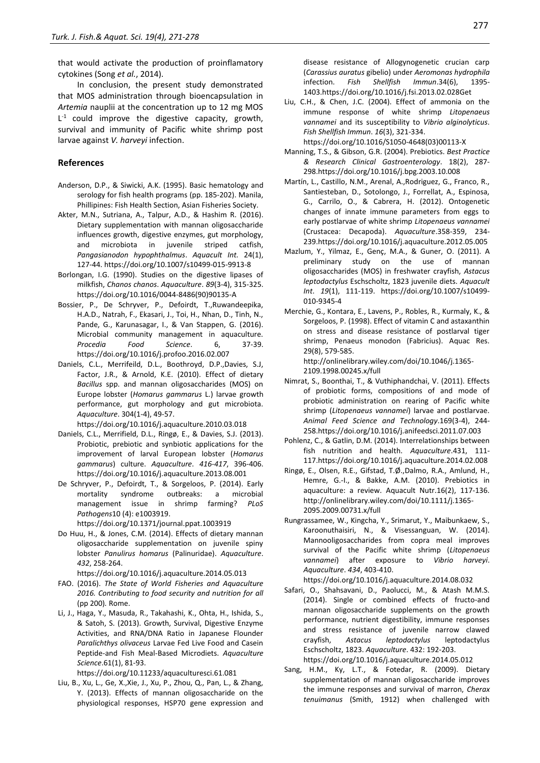that would activate the production of proinflamatory cytokines (Song *et al.*, 2014).

In conclusion, the present study demonstrated that MOS administration through bioencapsulation in *Artemia* nauplii at the concentration up to 12 mg MOS  $L^{-1}$  could improve the digestive capacity, growth, survival and immunity of Pacific white shrimp post larvae against *V. harveyi* infection.

# **References**

- Anderson, D.P., & Siwicki, A.K. (1995). Basic hematology and serology for fish health programs (pp. 185-202). Manila, Phillipines: Fish Health Section, Asian Fisheries Society.
- Akter, M.N., Sutriana, A., Talpur, A.D., & Hashim R. (2016). Dietary supplementation with mannan oligosaccharide influences growth, digestive enzymes, gut morphology, and microbiota in juvenile striped catfish, *Pangasianodon hypophthalmus*. *Aquacult Int.* 24(1), 127-44. https://doi.org/10.1007/s10499-015-9913-8
- Borlongan, I.G. (1990). Studies on the digestive lipases of milkfish, *Chanos chanos*. *Aquaculture*. *89*(3-4), 315-325. [https://doi.org/10.1016/0044-8486\(90\)90135-A](https://doi.org/10.1016/0044-8486(90)90135-A)
- Bossier, P., De Schryver, P., Defoirdt, T.,Ruwandeepika, H.A.D., Natrah, F., Ekasari, J., Toi, H., Nhan, D., Tinh, N., Pande, G., Karunasagar, I., & Van Stappen, G. (2016). Microbial community management in aquaculture. *Procedia Food Science*. 6, 37-39. <https://doi.org/10.1016/j.profoo.2016.02.007>
- Daniels, C.L., Merrifeild, D.L., Boothroyd, D.P.,Davies, S.J, Factor, J.R., & Arnold, K.E. (2010). Effect of dietary *Bacillus* spp. and mannan oligosaccharides (MOS) on Europe lobster (*Homarus gammarus* L.) larvae growth performance, gut morphology and gut microbiota. *Aquaculture*. 304(1-4), 49-57.

<https://doi.org/10.1016/j.aquaculture.2010.03.018>

- Daniels, C.L., Merrifield, D.L., Ringø, E., & Davies, S.J. (2013). Probiotic, prebiotic and synbiotic applications for the improvement of larval European lobster (*Homarus gammarus*) culture. *Aquaculture*. *416-417*, 396-406. <https://doi.org/10.1016/j.aquaculture.2013.08.001>
- De Schryver, P., Defoirdt, T., & Sorgeloos, P. (2014). Early mortality syndrome outbreaks: a microbial management issue in shrimp farming? *PLoS Pathogens*10 (4): e1003919.

https://doi.org/10.1371/journal.ppat.1003919

Do Huu, H., & Jones, C.M. (2014). Effects of dietary mannan oligosaccharide supplementation on juvenile spiny lobster *Panulirus homarus* (Palinuridae). *Aquaculture*. *432*, 258-264.

<https://doi.org/10.1016/j.aquaculture.2014.05.013>

- FAO. (2016). *The State of World Fisheries and Aquaculture 2016. Contributing to food security and nutrition for all*  (pp 200)*.* Rome.
- Li, J., Haga, Y., Masuda, R., Takahashi, K., Ohta, H., Ishida, S., & Satoh, S. (2013). Growth, Survival, Digestive Enzyme Activities, and RNA/DNA Ratio in Japanese Flounder *Paralichthys olivaceus* Larvae Fed Live Food and Casein Peptide-and Fish Meal-Based Microdiets. *Aquaculture Science*.61(1), 81-93.

<https://doi.org/10.11233/aquaculturesci.61.081>

Liu, B., Xu, L., Ge, X.,Xie, J., Xu, P., Zhou, Q., Pan, L., & Zhang, Y. (2013). Effects of mannan oligosaccharide on the physiological responses, HSP70 gene expression and disease resistance of Allogynogenetic crucian carp (*Carassius auratus* gibelio) under *Aeromonas hydrophila* infection. *Fish Shellfish Immun*.34(6), 1395- 1403[.https://doi.org/10.1016/j.fsi.2013.02.028Get](https://doi.org/10.1016/j.fsi.2013.02.028) 

Liu, C.H., & Chen, J.C. (2004). Effect of ammonia on the immune response of white shrimp *Litopenaeus vannamei* and its susceptibility to *Vibrio alginolyticus*. *Fish Shellfish Immun*. *16*(3), 321-334.

[https://doi.org/10.1016/S1050-4648\(03\)00113-X](https://doi.org/10.1016/S1050-4648(03)00113-X)

- Manning, T.S., & Gibson, G.R. (2004). Prebiotics. *Best Practice & Research Clinical Gastroenterology*. 18(2), 287- 29[8.https://doi.org/10.1016/j.bpg.2003.10.008](https://doi.org/10.1016/j.bpg.2003.10.008)
- Martín, L., Castillo, N.M., Arenal, A.,Rodriguez, G., Franco, R., Santiesteban, D., Sotolongo, J., Forrellat, A., Espinosa, G., Carrilo, O., & Cabrera, H. (2012). Ontogenetic changes of innate immune parameters from eggs to early postlarvae of white shrimp *Litopenaeus vannamei* (Crustacea: Decapoda). *Aquaculture*.358-359, 234- 23[9.https://doi.org/10.1016/j.aquaculture.2012.05.005](https://doi.org/10.1016/j.aquaculture.2012.05.005)
- Mazlum, Y., Yilmaz, E., Genç, M.A., & Guner, O. (2011). A preliminary study on the use of mannan oligosaccharides (MOS) in freshwater crayfish, *Astacus leptodactylus* Eschscholtz, 1823 juvenile diets. *Aquacult Int*. *19*(1), 111-119. https://doi.org/10.1007/s10499- 010-9345-4
- Merchie, G., Kontara, E., Lavens, P., Robles, R., Kurmaly, K., & Sorgeloos, P. (1998). Effect of vitamin C and astaxanthin on stress and disease resistance of postlarval tiger shrimp, Penaeus monodon (Fabricius). Aquac Res. 29(8), 579-585.

http://onlinelibrary.wiley.com/doi/10.1046/j.1365- 2109.1998.00245.x/full

- Nimrat, S., Boonthai, T., & Vuthiphandchai, V. (2011). Effects of probiotic forms, compositions of and mode of probiotic administration on rearing of Pacific white shrimp (*Litopenaeus vannamei*) larvae and postlarvae. *Animal Feed Science and Technology*.169(3-4), 244- 25[8.https://doi.org/10.1016/j.anifeedsci.2011.07.003](https://doi.org/10.1016/j.anifeedsci.2011.07.003)
- Pohlenz, C., & Gatlin, D.M. (2014). Interrelationships between fish nutrition and health. *Aquaculture*.431, 111- 11[7.https://doi.org/10.1016/j.aquaculture.2014.02.008](https://doi.org/10.1016/j.aquaculture.2014.02.008)
- Ringø, E., Olsen, R.E., Gifstad, T.Ø.,Dalmo, R.A., Amlund, H., Hemre, G.-I., & Bakke, A.M. (2010). Prebiotics in aquaculture: a review. Aquacult Nutr.16(2), 117-136. http://onlinelibrary.wiley.com/doi/10.1111/j.1365- 2095.2009.00731.x/full
- Rungrassamee, W., Kingcha, Y., Srimarut, Y., Maibunkaew, S., Karoonuthaisiri, N., & Visessanguan, W. (2014). Mannooligosaccharides from copra meal improves survival of the Pacific white shrimp (*Litopenaeus vannamei*) after exposure to *Vibrio harveyi*. *Aquaculture*. *434*, 403-410.

<https://doi.org/10.1016/j.aquaculture.2014.08.032>

- Safari, O., Shahsavani, D., Paolucci, M., & Atash M.M.S. (2014). Single or combined effects of fructo-and mannan oligosaccharide supplements on the growth performance, nutrient digestibility, immune responses and stress resistance of juvenile narrow clawed crayfish, *Astacus leptodactylus* leptodactylus Eschscholtz, 1823. *Aquaculture*. 432: 192-203. <https://doi.org/10.1016/j.aquaculture.2014.05.012>
- Sang, H.M., Ky, L.T., & Fotedar, R. (2009). Dietary supplementation of mannan oligosaccharide improves the immune responses and survival of marron, *Cherax tenuimanus* (Smith, 1912) when challenged with